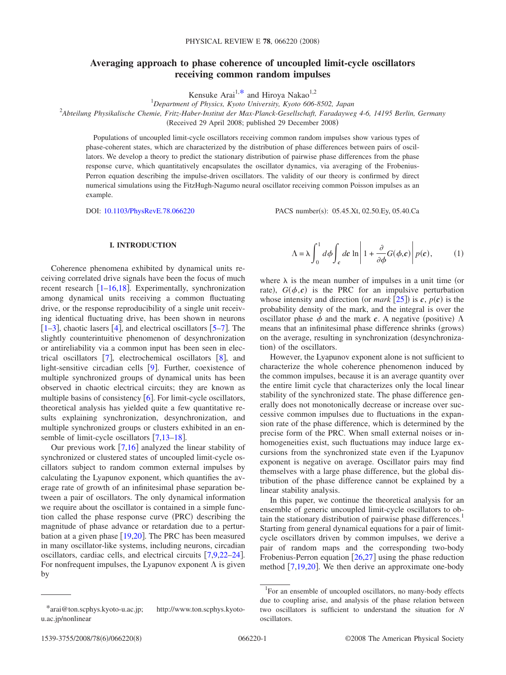# **Averaging approach to phase coherence of uncoupled limit-cycle oscillators receiving common random impulses**

Kensuke Arai<sup>1[,\\*](#page-0-0)</sup> and Hiroya Nakao<sup>1,2</sup>

1 *Department of Physics, Kyoto University, Kyoto 606-8502, Japan*

2 *Abteilung Physikalische Chemie, Fritz-Haber-Institut der Max-Planck-Gesellschaft, Faradayweg 4-6, 14195 Berlin, Germany*

Received 29 April 2008; published 29 December 2008-

Populations of uncoupled limit-cycle oscillators receiving common random impulses show various types of phase-coherent states, which are characterized by the distribution of phase differences between pairs of oscillators. We develop a theory to predict the stationary distribution of pairwise phase differences from the phase response curve, which quantitatively encapsulates the oscillator dynamics, via averaging of the Frobenius-Perron equation describing the impulse-driven oscillators. The validity of our theory is confirmed by direct numerical simulations using the FitzHugh-Nagumo neural oscillator receiving common Poisson impulses as an example.

DOI: [10.1103/PhysRevE.78.066220](http://dx.doi.org/10.1103/PhysRevE.78.066220)

PACS number(s): 05.45.Xt, 02.50.Ey, 05.40.Ca

# **I. INTRODUCTION**

Coherence phenomena exhibited by dynamical units receiving correlated drive signals have been the focus of much recent research  $\left[1-16,18\right]$  $\left[1-16,18\right]$  $\left[1-16,18\right]$  $\left[1-16,18\right]$ . Experimentally, synchronization among dynamical units receiving a common fluctuating drive, or the response reproducibility of a single unit receiving identical fluctuating drive, has been shown in neurons  $[1-3]$  $[1-3]$  $[1-3]$ , chaotic lasers [[4](#page-7-4)], and electrical oscillators [[5–](#page-7-5)[7](#page-7-6)]. The slightly counterintuitive phenomenon of desynchronization or antireliability via a common input has been seen in electrical oscillators  $\lceil 7 \rceil$  $\lceil 7 \rceil$  $\lceil 7 \rceil$ , electrochemical oscillators  $\lceil 8 \rceil$  $\lceil 8 \rceil$  $\lceil 8 \rceil$ , and light-sensitive circadian cells  $[9]$  $[9]$  $[9]$ . Further, coexistence of multiple synchronized groups of dynamical units has been observed in chaotic electrical circuits; they are known as multiple basins of consistency  $[6]$  $[6]$  $[6]$ . For limit-cycle oscillators, theoretical analysis has yielded quite a few quantitative results explaining synchronization, desynchronization, and multiple synchronized groups or clusters exhibited in an ensemble of limit-cycle oscillators  $[7,13-18]$  $[7,13-18]$  $[7,13-18]$  $[7,13-18]$ .

Our previous work  $\lceil 7,16 \rceil$  $\lceil 7,16 \rceil$  $\lceil 7,16 \rceil$  $\lceil 7,16 \rceil$  analyzed the linear stability of synchronized or clustered states of uncoupled limit-cycle oscillators subject to random common external impulses by calculating the Lyapunov exponent, which quantifies the average rate of growth of an infinitesimal phase separation between a pair of oscillators. The only dynamical information we require about the oscillator is contained in a simple function called the phase response curve (PRC) describing the magnitude of phase advance or retardation due to a perturbation at a given phase  $[19,20]$  $[19,20]$  $[19,20]$  $[19,20]$ . The PRC has been measured in many oscillator-like systems, including neurons, circadian oscillators, cardiac cells, and electrical circuits [[7,](#page-7-6)[9,](#page-7-8)[22](#page-7-13)[–24](#page-7-14)]. For nonfrequent impulses, the Lyapunov exponent  $\Lambda$  is given by

$$
\Lambda = \lambda \int_0^1 d\phi \int_c dc \ln \left| 1 + \frac{\partial}{\partial \phi} G(\phi, c) \right| p(c), \quad (1)
$$

where  $\lambda$  is the mean number of impulses in a unit time (or rate),  $G(\phi, c)$  is the PRC for an impulsive perturbation whose intensity and direction (or *mark* [[25](#page-7-15)]) is  $c$ ,  $p(c)$  is the probability density of the mark, and the integral is over the oscillator phase  $\phi$  and the mark  $c$ . A negative (positive)  $\Lambda$ means that an infinitesimal phase difference shrinks (grows) on the average, resulting in synchronization desynchronization) of the oscillators.

However, the Lyapunov exponent alone is not sufficient to characterize the whole coherence phenomenon induced by the common impulses, because it is an average quantity over the entire limit cycle that characterizes only the local linear stability of the synchronized state. The phase difference generally does not monotonically decrease or increase over successive common impulses due to fluctuations in the expansion rate of the phase difference, which is determined by the precise form of the PRC. When small external noises or inhomogeneities exist, such fluctuations may induce large excursions from the synchronized state even if the Lyapunov exponent is negative on average. Oscillator pairs may find themselves with a large phase difference, but the global distribution of the phase difference cannot be explained by a linear stability analysis.

In this paper, we continue the theoretical analysis for an ensemble of generic uncoupled limit-cycle oscillators to obtain the stationary distribution of pairwise phase differences.<sup>1</sup> Starting from general dynamical equations for a pair of limitcycle oscillators driven by common impulses, we derive a pair of random maps and the corresponding two-body Frobenius-Perron equation  $[26,27]$  $[26,27]$  $[26,27]$  $[26,27]$  using the phase reduction method  $[7,19,20]$  $[7,19,20]$  $[7,19,20]$  $[7,19,20]$  $[7,19,20]$ . We then derive an approximate one-body

<span id="page-0-0"></span><sup>\*</sup>arai@ton.scphys.kyoto-u.ac.jp; http://www.ton.scphys.kyotou.ac.jp/nonlinear

<sup>&</sup>lt;sup>1</sup>For an ensemble of uncoupled oscillators, no many-body effects due to coupling arise, and analysis of the phase relation between two oscillators is sufficient to understand the situation for *N* oscillators.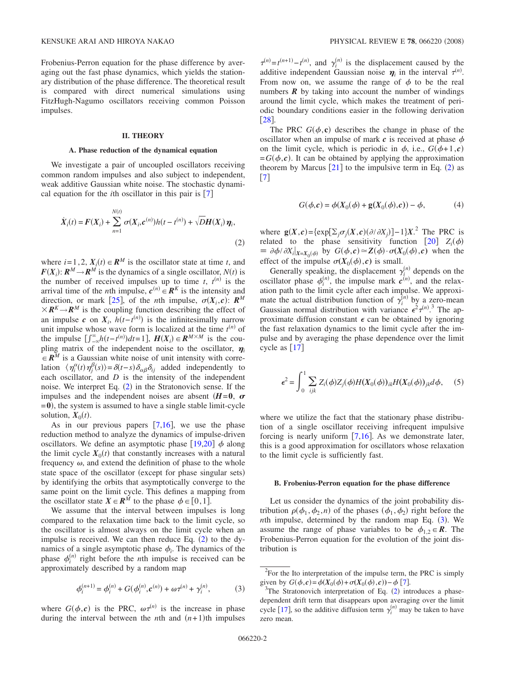Frobenius-Perron equation for the phase difference by averaging out the fast phase dynamics, which yields the stationary distribution of the phase difference. The theoretical result is compared with direct numerical simulations using FitzHugh-Nagumo oscillators receiving common Poisson impulses.

## **II. THEORY**

#### **A. Phase reduction of the dynamical equation**

We investigate a pair of uncoupled oscillators receiving common random impulses and also subject to independent, weak additive Gaussian white noise. The stochastic dynamical equation for the *i*th oscillator in this pair is  $[7]$  $[7]$  $[7]$ 

<span id="page-1-0"></span>
$$
\dot{X}_i(t) = F(X_i) + \sum_{n=1}^{N(t)} \sigma(X_i, c^{(n)}) h(t - t^{(n)}) + \sqrt{D}H(X_i) \eta_i,
$$
\n(2)

where  $i=1,2$ ,  $X_i(t) \in \mathbb{R}^M$  is the oscillator state at time *t*, and  $F(X_i): R^M \to R^M$  is the dynamics of a single oscillator,  $N(t)$  is the number of received impulses up to time *t*,  $t^{(n)}$  is the arrival time of the *n*th impulse,  $c^{(n)} \in \mathbb{R}^K$  is the intensity and direction, or mark [[25](#page-7-15)], of the *n*th impulse,  $\sigma(X_i, c)$ :  $\mathbb{R}^M$  $X \, \mathbb{R}^K \rightarrow \mathbb{R}^M$  is the coupling function describing the effect of an impulse *c* on  $X_i$ ,  $h(t-t^{(n)})$  is the infinitesimally narrow unit impulse whose wave form is localized at the time  $t^{(n)}$  of the impulse  $\left[\int_{-\infty}^{\infty} h(t-t^{(n)})dt=1\right]$ ,  $H(X_i) \in \mathbb{R}^{M \times M}$  is the coupling matrix of the independent noise to the oscillator,  $\eta_i$  $\mathbf{R}^M$  is a Gaussian white noise of unit intensity with correlation  $\langle \eta_i^{\alpha}(t) \eta_j^{\beta}(s) \rangle = \delta(t-s) \delta_{\alpha\beta} \delta_{ij}$  added independently to each oscillator, and *D* is the intensity of the independent noise. We interpret Eq.  $(2)$  $(2)$  $(2)$  in the Stratonovich sense. If the impulses and the independent noises are absent  $(H=0, \sigma)$  $= 0$ ), the system is assumed to have a single stable limit-cycle solution,  $X_0(t)$ .

As in our previous papers  $[7,16]$  $[7,16]$  $[7,16]$  $[7,16]$ , we use the phase reduction method to analyze the dynamics of impulse-driven oscillators. We define an asymptotic phase  $[19,20]$  $[19,20]$  $[19,20]$  $[19,20]$   $\phi$  along the limit cycle  $X_0(t)$  that constantly increases with a natural frequency  $\omega$ , and extend the definition of phase to the whole state space of the oscillator (except for phase singular sets) by identifying the orbits that asymptotically converge to the same point on the limit cycle. This defines a mapping from the oscillator state  $X \in \mathbb{R}^M$  to the phase  $\phi \in [0,1]$ .

We assume that the interval between impulses is long compared to the relaxation time back to the limit cycle, so the oscillator is almost always on the limit cycle when an impulse is received. We can then reduce Eq.  $(2)$  $(2)$  $(2)$  to the dynamics of a single asymptotic phase  $\phi_i$ . The dynamics of the phase  $\phi_i^{(n)}$  right before the *n*th impulse is received can be approximately described by a random map

$$
\phi_i^{(n+1)} = \phi_i^{(n)} + G(\phi_i^{(n)}, c^{(n)}) + \omega \tau^{(n)} + \gamma_i^{(n)},
$$
(3)

<span id="page-1-1"></span>where  $G(\phi, c)$  is the PRC,  $\omega \tau^{(n)}$  is the increase in phase during the interval between the *n*th and  $(n+1)$ th impulses

 $\tau^{(n)} = t^{(n+1)} - t^{(n)}$ , and  $\gamma_i^{(n)}$  is the displacement caused by the additive independent Gaussian noise  $\eta_i$  in the interval  $\tau^{(n)}$ . From now on, we assume the range of  $\phi$  to be the real numbers  $\vec{R}$  by taking into account the number of windings around the limit cycle, which makes the treatment of periodic boundary conditions easier in the following derivation  $\lceil 28 \rceil$  $\lceil 28 \rceil$  $\lceil 28 \rceil$ .

The PRC  $G(\phi, c)$  describes the change in phase of the oscillator when an impulse of mark  $c$  is received at phase  $\phi$ on the limit cycle, which is periodic in  $\phi$ , i.e.,  $G(\phi+1,c)$  $= G(\phi, c)$ . It can be obtained by applying the approximation theorem by Marcus  $[21]$  $[21]$  $[21]$  to the impulsive term in Eq. ([2](#page-1-0)) as  $\begin{bmatrix} 7 \end{bmatrix}$  $\begin{bmatrix} 7 \end{bmatrix}$  $\begin{bmatrix} 7 \end{bmatrix}$ 

$$
G(\phi, c) = \phi(X_0(\phi) + \mathbf{g}(X_0(\phi), c)) - \phi,
$$
 (4)

where  $\mathbf{g}(X,\mathbf{c}) = \{\exp[\sum_j \sigma_j(X,\mathbf{c})(\partial/\partial X_j)] - 1\}X$ <sup>2</sup>. The PRC is related to the phase sensitivity function  $[20]$  $[20]$  $[20]$   $Z_i(\phi)$  $\equiv \partial \phi / \partial X_i |_{X=X_0(\phi)}$  by  $G(\phi, c) \simeq Z(\phi) \cdot \sigma(X_0(\phi), c)$  when the effect of the impulse  $\sigma(X_0(\phi), c)$  is small.

Generally speaking, the displacement  $\gamma_i^{(n)}$  depends on the oscillator phase  $\phi_i^{(n)}$ , the impulse mark  $c^{(n)}$ , and the relaxation path to the limit cycle after each impulse. We approximate the actual distribution function of  $\gamma_i^{(n)}$  by a zero-mean Gaussian normal distribution with variance  $\epsilon^2 \tau^{(n)}$ .<sup>3</sup> The approximate diffusion constant  $\epsilon$  can be obtained by ignoring the fast relaxation dynamics to the limit cycle after the impulse and by averaging the phase dependence over the limit cycle as  $[17]$  $[17]$  $[17]$ 

$$
\epsilon^2 = \int_0^1 \sum_{ijk} Z_i(\phi) Z_j(\phi) H(X_0(\phi))_{ik} H(X_0(\phi))_{jk} d\phi, \quad (5)
$$

where we utilize the fact that the stationary phase distribution of a single oscillator receiving infrequent impulsive forcing is nearly uniform  $[7,16]$  $[7,16]$  $[7,16]$  $[7,16]$ . As we demonstrate later, this is a good approximation for oscillators whose relaxation to the limit cycle is sufficiently fast.

#### **B. Frobenius-Perron equation for the phase difference**

Let us consider the dynamics of the joint probability distribution  $\rho(\phi_1, \phi_2, n)$  of the phases  $(\phi_1, \phi_2)$  right before the *nth* impulse, determined by the random map Eq. ([3](#page-1-1)). We assume the range of phase variables to be  $\phi_{1,2} \in \mathbb{R}$ . The Frobenius-Perron equation for the evolution of the joint distribution is

 $2^2$ For the Ito interpretation of the impulse term, the PRC is simply given by  $G(\phi, c) = \phi(X_0(\phi) + \sigma(X_0(\phi), c)) - \phi[7]$  $G(\phi, c) = \phi(X_0(\phi) + \sigma(X_0(\phi), c)) - \phi[7]$  $G(\phi, c) = \phi(X_0(\phi) + \sigma(X_0(\phi), c)) - \phi[7]$ .

The Stratonovich interpretation of Eq.  $(2)$  $(2)$  $(2)$  introduces a phasedependent drift term that disappears upon averaging over the limit cycle [[17](#page-7-19)], so the additive diffusion term  $\gamma_i^{(n)}$  may be taken to have zero mean.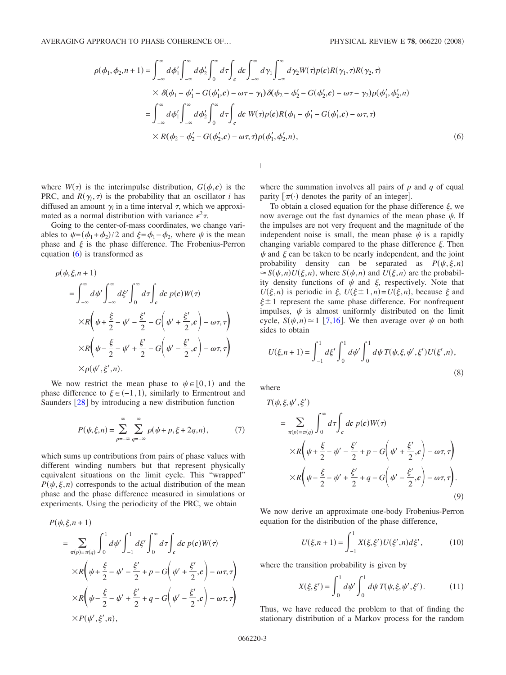<span id="page-2-0"></span>AVERAGING APPROACH TO PHASE COHERENCE OF...

$$
\rho(\phi_1, \phi_2, n+1) = \int_{-\infty}^{\infty} d\phi'_1 \int_{-\infty}^{\infty} d\phi'_2 \int_0^{\infty} d\tau \int_c d\mathbf{c} \int_{-\infty}^{\infty} d\gamma_1 \int_{-\infty}^{\infty} d\gamma_2 W(\tau) p(\mathbf{c}) R(\gamma_1, \tau) R(\gamma_2, \tau)
$$
  
 
$$
\times \delta(\phi_1 - \phi'_1 - G(\phi'_1, \mathbf{c}) - \omega \tau - \gamma_1) \delta(\phi_2 - \phi'_2 - G(\phi'_2, \mathbf{c}) - \omega \tau - \gamma_2) \rho(\phi'_1, \phi'_2, n)
$$
  
\n
$$
= \int_{-\infty}^{\infty} d\phi'_1 \int_{-\infty}^{\infty} d\phi'_2 \int_0^{\infty} d\tau \int_c d\mathbf{c} W(\tau) p(\mathbf{c}) R(\phi_1 - \phi'_1 - G(\phi'_1, \mathbf{c}) - \omega \tau, \tau)
$$
  
\n
$$
\times R(\phi_2 - \phi'_2 - G(\phi'_2, \mathbf{c}) - \omega \tau, \tau) \rho(\phi'_1, \phi'_2, n), \qquad (6)
$$

where  $W(\tau)$  is the interimpulse distribution,  $G(\phi, c)$  is the PRC, and  $R(\gamma_i, \tau)$  is the probability that an oscillator *i* has diffused an amount  $\gamma$  in a time interval  $\tau$ , which we approximated as a normal distribution with variance  $\epsilon^2 \tau$ .

Going to the center-of-mass coordinates, we change variables to  $\psi = (\phi_1 + \phi_2)/2$  and  $\xi = \phi_1 - \phi_2$ , where  $\psi$  is the mean phase and  $\xi$  is the phase difference. The Frobenius-Perron equation  $(6)$  $(6)$  $(6)$  is transformed as

$$
\rho(\psi,\xi,n+1)
$$
\n
$$
= \int_{-\infty}^{\infty} d\psi' \int_{-\infty}^{\infty} d\xi' \int_{0}^{\infty} d\tau \int_{c} dc \, p(c)W(\tau)
$$
\n
$$
\times R\left(\psi + \frac{\xi}{2} - \psi' - \frac{\xi'}{2} - G\left(\psi' + \frac{\xi'}{2}, c\right) - \omega\tau, \tau\right)
$$
\n
$$
\times R\left(\psi - \frac{\xi}{2} - \psi' + \frac{\xi'}{2} - G\left(\psi' - \frac{\xi'}{2}, c\right) - \omega\tau, \tau\right)
$$
\n
$$
\times \rho(\psi',\xi',n).
$$

We now restrict the mean phase to  $\psi \in [0,1)$  and the phase difference to  $\xi$  ∈ (-1,1), similarly to Ermentrout and Saunders  $\lceil 28 \rceil$  $\lceil 28 \rceil$  $\lceil 28 \rceil$  by introducing a new distribution function

$$
P(\psi, \xi, n) = \sum_{p=-\infty}^{\infty} \sum_{q=-\infty}^{\infty} \rho(\psi + p, \xi + 2q, n),
$$
 (7)

which sums up contributions from pairs of phase values with different winding numbers but that represent physically equivalent situations on the limit cycle. This "wrapped"  $P(\psi, \xi, n)$  corresponds to the actual distribution of the mean phase and the phase difference measured in simulations or experiments. Using the periodicity of the PRC, we obtain

$$
P(\psi, \xi, n+1)
$$
  
= 
$$
\sum_{\pi(p)=\pi(q)} \int_0^1 d\psi' \int_{-1}^1 d\xi' \int_0^\infty d\tau \int_c dc \ p(c) W(\tau)
$$
  

$$
\times R\left(\psi + \frac{\xi}{2} - \psi' - \frac{\xi'}{2} + p - G\left(\psi' + \frac{\xi'}{2}, c\right) - \omega \tau, \tau\right)
$$
  

$$
\times R\left(\psi - \frac{\xi}{2} - \psi' + \frac{\xi'}{2} + q - G\left(\psi' - \frac{\xi'}{2}, c\right) - \omega \tau, \tau\right)
$$
  

$$
\times P(\psi', \xi', n),
$$

where the summation involves all pairs of *p* and *q* of equal parity  $[\pi(\cdot)]$  denotes the parity of an integer.

To obtain a closed equation for the phase difference  $\xi$ , we now average out the fast dynamics of the mean phase  $\psi$ . If the impulses are not very frequent and the magnitude of the independent noise is small, the mean phase  $\psi$  is a rapidly changing variable compared to the phase difference  $\xi$ . Then  $\psi$  and  $\xi$  can be taken to be nearly independent, and the joint probability density can be separated as  $P(\psi, \xi, n)$  $\approx S(\psi, n)U(\xi, n)$ , where  $S(\psi, n)$  and  $U(\xi, n)$  are the probability density functions of  $\psi$  and  $\xi$ , respectively. Note that  $U(\xi, n)$  is periodic in  $\xi$ ,  $U(\xi \pm 1, n) = U(\xi, n)$ , because  $\xi$  and  $\xi \pm 1$  represent the same phase difference. For nonfrequent impulses,  $\psi$  is almost uniformly distributed on the limit cycle,  $S(\psi, n) \approx 1$  [[7,](#page-7-6)[16](#page-7-1)]. We then average over  $\psi$  on both sides to obtain

$$
U(\xi, n+1) = \int_{-1}^{1} d\xi' \int_{0}^{1} d\psi' \int_{0}^{1} d\psi T(\psi, \xi, \psi', \xi') U(\xi', n),
$$
\n(8)

where

<span id="page-2-2"></span>
$$
T(\psi, \xi, \psi', \xi')
$$
  
= 
$$
\sum_{\pi(p)=\pi(q)} \int_0^{\infty} d\tau \int_c dc \ p(c) W(\tau)
$$
  

$$
\times R\left(\psi + \frac{\xi}{2} - \psi' - \frac{\xi'}{2} + p - G\left(\psi' + \frac{\xi'}{2}, c\right) - \omega \tau, \tau\right)
$$
  

$$
\times R\left(\psi - \frac{\xi}{2} - \psi' + \frac{\xi'}{2} + q - G\left(\psi' - \frac{\xi'}{2}, c\right) - \omega \tau, \tau\right).
$$
  
(9)

We now derive an approximate one-body Frobenius-Perron equation for the distribution of the phase difference,

$$
U(\xi, n+1) = \int_{-1}^{1} X(\xi, \xi') U(\xi', n) d\xi', \qquad (10)
$$

<span id="page-2-1"></span>where the transition probability is given by

$$
X(\xi, \xi') = \int_0^1 d\psi' \int_0^1 d\psi \, T(\psi, \xi, \psi', \xi'). \tag{11}
$$

Thus, we have reduced the problem to that of finding the stationary distribution of a Markov process for the random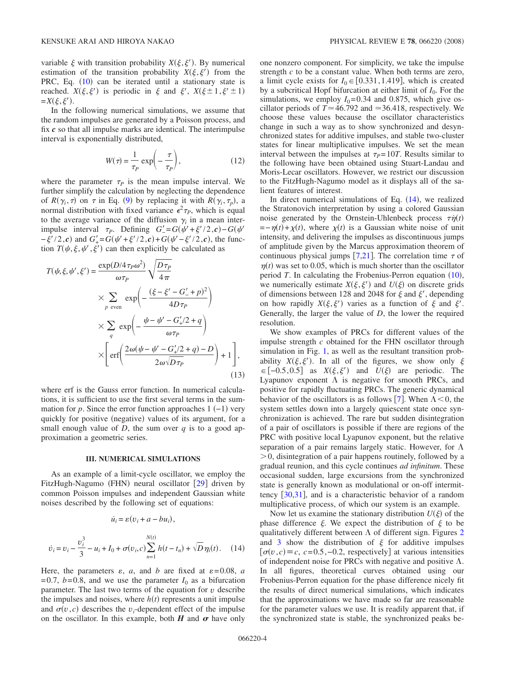variable  $\xi$  with transition probability  $X(\xi, \xi')$ . By numerical estimation of the transition probability  $X(\xi, \xi')$  from the PRC, Eq.  $(10)$  $(10)$  $(10)$  can be iterated until a stationary state is reached.  $X(\xi, \xi')$  is periodic in  $\xi$  and  $\xi'$ ,  $X(\xi \pm 1, \xi' \pm 1)$  $=X(\xi,\xi').$ 

In the following numerical simulations, we assume that the random impulses are generated by a Poisson process, and fix *c* so that all impulse marks are identical. The interimpulse interval is exponentially distributed,

$$
W(\tau) = \frac{1}{\tau_P} \exp\left(-\frac{\tau}{\tau_P}\right),\tag{12}
$$

where the parameter  $\tau_p$  is the mean impulse interval. We further simplify the calculation by neglecting the dependence of  $R(\gamma_i, \tau)$  on  $\tau$  in Eq. ([9](#page-2-2)) by replacing it with  $R(\gamma_i, \tau_p)$ , a normal distribution with fixed variance  $\epsilon^2 \tau_p$ , which is equal to the average variance of the diffusion  $\gamma_i$  in a mean interimpulse interval  $\tau_P$ . Defining  $G' = G(\psi' + \xi'/2, c) - G(\psi'$  $-\xi'/2$ ,*c*) and  $G'_{+} = G(\psi' + \xi'/2, c) + G(\psi' - \xi'/2, c)$ , the function  $T(\psi, \xi, \psi', \xi')$  can then explicitly be calculated as

$$
T(\psi, \xi, \psi', \xi') = \frac{\exp(D/4\tau_P \omega^2)}{\omega \tau_P} \sqrt{\frac{D\tau_P}{4\pi}}
$$
  
 
$$
\times \sum_{p \text{ even}} \exp\left(-\frac{(\xi - \xi' - G'_{-} + p)^2}{4D\tau_P}\right)
$$
  
 
$$
\times \sum_{q} \exp\left(-\frac{\psi - \psi' - G'_{+}/2 + q}{\omega \tau_P}\right)
$$
  
 
$$
\times \left[\text{erf}\left(\frac{2\omega(\psi - \psi' - G'_{+}/2 + q) - D}{2\omega\sqrt{D\tau_P}}\right) + 1\right],
$$
 (13)

where erf is the Gauss error function. In numerical calculations, it is sufficient to use the first several terms in the summation for *p*. Since the error function approaches  $1(-1)$  very quickly for positive (negative) values of its argument, for a small enough value of *D*, the sum over *q* is to a good approximation a geometric series.

## **III. NUMERICAL SIMULATIONS**

As an example of a limit-cycle oscillator, we employ the FitzHugh-Nagumo (FHN) neural oscillator [[29](#page-7-20)] driven by common Poisson impulses and independent Gaussian white noises described by the following set of equations:

<span id="page-3-0"></span>
$$
\dot{u}_i = \varepsilon (v_i + a - bu_i),
$$
  

$$
\dot{v}_i = v_i - \frac{v_i^3}{3} - u_i + I_0 + \sigma(v_i, c) \sum_{n=1}^{N(t)} h(t - t_n) + \sqrt{D} \eta_i(t). \quad (14)
$$

Here, the parameters  $\varepsilon$ , *a*, and *b* are fixed at  $\varepsilon = 0.08$ , *a*  $= 0.7$ ,  $b = 0.8$ , and we use the parameter  $I_0$  as a bifurcation parameter. The last two terms of the equation for  $v$  describe the impulses and noises, where  $h(t)$  represents a unit impulse and  $\sigma(v, c)$  describes the *v*<sub>*i*</sub>-dependent effect of the impulse on the oscillator. In this example, both  $H$  and  $\sigma$  have only

one nonzero component. For simplicity, we take the impulse strength *c* to be a constant value. When both terms are zero, a limit cycle exists for  $I_0 \in [0.331, 1.419]$ , which is created by a subcritical Hopf bifurcation at either limit of *I*0. For the simulations, we employ  $I_0 = 0.34$  and 0.875, which give oscillator periods of  $T \approx 46.792$  and  $\approx 36.418$ , respectively. We choose these values because the oscillator characteristics change in such a way as to show synchronized and desynchronized states for additive impulses, and stable two-cluster states for linear multiplicative impulses. We set the mean interval between the impulses at  $\tau_p = 10T$ . Results similar to the following have been obtained using Stuart-Landau and Moris-Lecar oscillators. However, we restrict our discussion to the FitzHugh-Nagumo model as it displays all of the salient features of interest.

In direct numerical simulations of Eq.  $(14)$  $(14)$  $(14)$ , we realized the Stratonovich interpretation by using a colored Gaussian noise generated by the Ornstein-Uhlenbeck process  $\tau \dot{\eta}(t)$  $=-\eta(t)+\chi(t)$ , where  $\chi(t)$  is a Gaussian white noise of unit intensity, and delivering the impulses as discontinuous jumps of amplitude given by the Marcus approximation theorem of continuous physical jumps [[7,](#page-7-6)[21](#page-7-18)]. The correlation time  $\tau$  of  $\eta(t)$  was set to 0.05, which is much shorter than the oscillator period  $T$ . In calculating the Frobenius-Perron equation  $(10)$  $(10)$  $(10)$ , we numerically estimate  $X(\xi, \xi')$  and  $U(\xi)$  on discrete grids of dimensions between 128 and 2048 for  $\xi$  and  $\xi'$ , depending on how rapidly  $X(\xi, \xi')$  varies as a function of  $\xi$  and  $\xi'$ . Generally, the larger the value of *D*, the lower the required resolution.

We show examples of PRCs for different values of the impulse strength *c* obtained for the FHN oscillator through simulation in Fig. [1,](#page-4-0) as well as the resultant transition probability  $X(\xi, \xi')$ . In all of the figures, we show only  $\xi$  $\in [-0.5, 0.5]$  as *X*( $\xi, \xi'$ ) and *U*( $\xi$ ) are periodic. The Lyapunov exponent  $\Lambda$  is negative for smooth PRCs, and positive for rapidly fluctuating PRCs. The generic dynamical behavior of the oscillators is as follows [[7](#page-7-6)]. When  $\Lambda < 0$ , the system settles down into a largely quiescent state once synchronization is achieved. The rare but sudden disintegration of a pair of oscillators is possible if there are regions of the PRC with positive local Lyapunov exponent, but the relative separation of a pair remains largely static. However, for  $\Lambda$  $> 0$ , disintegration of a pair happens routinely, followed by a gradual reunion, and this cycle continues *ad infinitum*. These occasional sudden, large excursions from the synchronized state is generally known as modulational or on-off intermittency [30](#page-7-21)[,31](#page-7-22), and is a characteristic behavior of a random multiplicative process, of which our system is an example.

Now let us examine the stationary distribution  $U(\xi)$  of the phase difference  $\xi$ . We expect the distribution of  $\xi$  to be qualitatively different between  $\Lambda$  of different sign. Figures [2](#page-4-1) and [3](#page-5-0) show the distribution of  $\xi$  for additive impulses  $\sigma(v, c) \equiv c$ , *c*=0.5,−0.2, respectively] at various intensities of independent noise for PRCs with negative and positive  $\Lambda$ . In all figures, theoretical curves obtained using our Frobenius-Perron equation for the phase difference nicely fit the results of direct numerical simulations, which indicates that the approximations we have made so far are reasonable for the parameter values we use. It is readily apparent that, if the synchronized state is stable, the synchronized peaks be-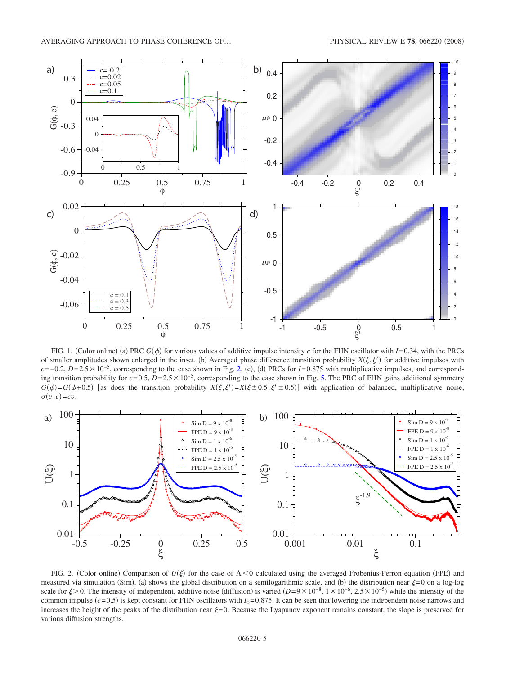<span id="page-4-0"></span>

FIG. 1. (Color online) (a) PRC  $G(\phi)$  for various values of additive impulse intensity *c* for the FHN oscillator with  $I=0.34$ , with the PRCs of smaller amplitudes shown enlarged in the inset. (b) Averaged phase difference transition probability  $X(\xi, \xi')$  for additive impulses with  $c = -0.2$ ,  $D = 2.5 \times 10^{-5}$  $D = 2.5 \times 10^{-5}$  $D = 2.5 \times 10^{-5}$ , corresponding to the case shown in Fig. 2. (c), (d) PRCs for *I*=0.875 with multiplicative impulses, and corresponding transition probability for *c*= 0.5, *D*= 2.510−5, corresponding to the case shown in Fig. [5.](#page-6-0) The PRC of FHN gains additional symmetry  $G(\phi) = G(\phi + 0.5)$  [as does the transition probability  $X(\xi, \xi') = X(\xi \pm 0.5, \xi' \pm 0.5)$ ] with application of balanced, multiplicative noise,  $\sigma(v, c) = cv$ .

<span id="page-4-1"></span>

FIG. 2. (Color online) Comparison of  $U(\xi)$  for the case of  $\Lambda < 0$  calculated using the averaged Frobenius-Perron equation (FPE) and measured via simulation (Sim). (a) shows the global distribution on a semilogarithmic scale, and (b) the distribution near  $\xi=0$  on a log-log scale for  $\xi > 0$ . The intensity of independent, additive noise (diffusion) is varied  $(D=9\times 10^{-8}, 1\times 10^{-6}, 2.5\times 10^{-5})$  while the intensity of the common impulse  $(c=0.5)$  is kept constant for FHN oscillators with  $I_0=0.875$ . It can be seen that lowering the independent noise narrows and increases the height of the peaks of the distribution near  $\xi=0$ . Because the Lyapunov exponent remains constant, the slope is preserved for various diffusion strengths.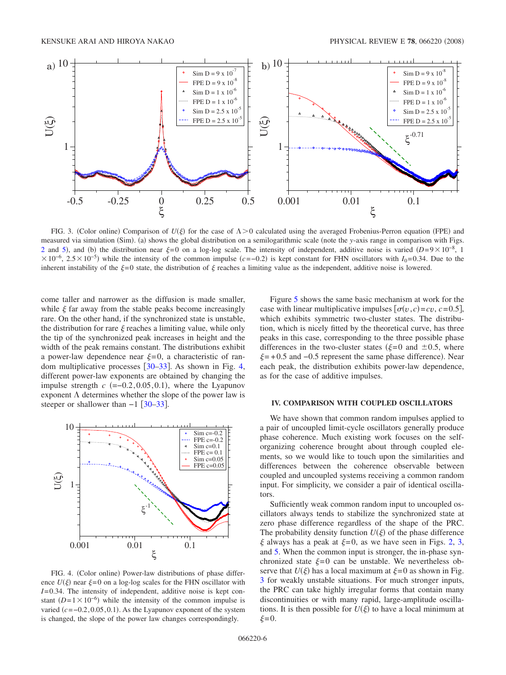<span id="page-5-0"></span>

FIG. 3. (Color online) Comparison of  $U(\xi)$  for the case of  $\Lambda > 0$  calculated using the averaged Frobenius-Perron equation (FPE) and measured via simulation (Sim). (a) shows the global distribution on a semilogarithmic scale (note the *y*-axis range in comparison with Figs. [2](#page-4-1) and [5](#page-6-0)), and (b) the distribution near  $\xi = 0$  on a log-log scale. The intensity of independent, additive noise is varied *D*= 9 × 10<sup>-8</sup>, 1  $\times$ 10<sup>-6</sup>, 2.5  $\times$ 10<sup>-5</sup>) while the intensity of the common impulse (*c*=−0.2) is kept constant for FHN oscillators with *I*<sub>0</sub>=0.34. Due to the inherent instability of the  $\xi=0$  state, the distribution of  $\xi$  reaches a limiting value as the independent, additive noise is lowered.

come taller and narrower as the diffusion is made smaller, while  $\xi$  far away from the stable peaks become increasingly rare. On the other hand, if the synchronized state is unstable, the distribution for rare  $\xi$  reaches a limiting value, while only the tip of the synchronized peak increases in height and the width of the peak remains constant. The distributions exhibit a power-law dependence near  $\xi = 0$ , a characteristic of random multiplicative processes  $[30-33]$  $[30-33]$  $[30-33]$ . As shown in Fig. [4,](#page-5-1) different power-law exponents are obtained by changing the impulse strength  $c$  (=-0.2, 0.05, 0.1), where the Lyapunov exponent  $\Lambda$  determines whether the slope of the power law is steeper or shallower than  $-1$  [[30–](#page-7-21)[33](#page-7-23)].

<span id="page-5-1"></span>

FIG. 4. (Color online) Power-law distributions of phase difference  $U(\xi)$  near  $\xi = 0$  on a log-log scales for the FHN oscillator with *I*= 0.34. The intensity of independent, additive noise is kept constant  $(D=1\times10^{-6})$  while the intensity of the common impulse is varied (c = −0.2, 0.05, 0.1). As the Lyapunov exponent of the system is changed, the slope of the power law changes correspondingly.

Figure [5](#page-6-0) shows the same basic mechanism at work for the case with linear multiplicative impulses  $\sigma(v, c) = cv, c = 0.5$ , which exhibits symmetric two-cluster states. The distribution, which is nicely fitted by the theoretical curve, has three peaks in this case, corresponding to the three possible phase differences in the two-cluster states ( $\xi = 0$  and  $\pm 0.5$ , where  $\xi = +0.5$  and  $-0.5$  represent the same phase difference). Near each peak, the distribution exhibits power-law dependence, as for the case of additive impulses.

### **IV. COMPARISON WITH COUPLED OSCILLATORS**

We have shown that common random impulses applied to a pair of uncoupled limit-cycle oscillators generally produce phase coherence. Much existing work focuses on the selforganizing coherence brought about through coupled elements, so we would like to touch upon the similarities and differences between the coherence observable between coupled and uncoupled systems receiving a common random input. For simplicity, we consider a pair of identical oscillators.

Sufficiently weak common random input to uncoupled oscillators always tends to stabilize the synchronized state at zero phase difference regardless of the shape of the PRC. The probability density function  $U(\xi)$  of the phase difference  $\xi$  always has a peak at  $\xi = 0$ , as we have seen in Figs. [2,](#page-4-1) [3,](#page-5-0) and [5.](#page-6-0) When the common input is stronger, the in-phase synchronized state  $\xi = 0$  can be unstable. We nevertheless observe that  $U(\xi)$  has a local maximum at  $\xi = 0$  as shown in Fig. [3](#page-5-0) for weakly unstable situations. For much stronger inputs, the PRC can take highly irregular forms that contain many discontinuities or with many rapid, large-amplitude oscillations. It is then possible for  $U(\xi)$  to have a local minimum at  $\xi=0$ .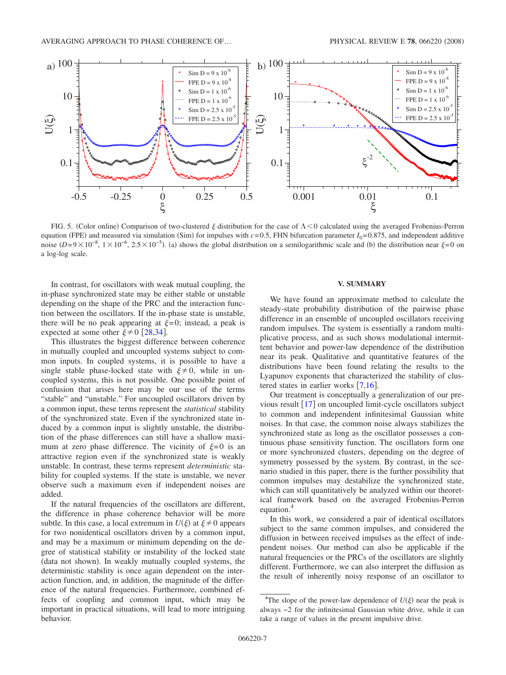<span id="page-6-0"></span>

FIG. 5. (Color online) Comparison of two-clustered  $\xi$  distribution for the case of  $\Lambda < 0$  calculated using the averaged Frobenius-Perron equation (FPE) and measured via simulation (Sim) for impulses with  $c = 0.5$ , FHN bifurcation parameter  $I_0 = 0.875$ , and independent additive noise  $(D=9\times10^{-8}, 1\times10^{-6}, 2.5\times10^{-5})$ . (a) shows the global distribution on a semilogarithmic scale and (b) the distribution near  $\xi=0$  on a log-log scale.

In contrast, for oscillators with weak mutual coupling, the in-phase synchronized state may be either stable or unstable depending on the shape of the PRC and the interaction function between the oscillators. If the in-phase state is unstable, there will be no peak appearing at  $\xi = 0$ ; instead, a peak is expected at some other  $\xi \neq 0$  [[28,](#page-7-2)[34](#page-7-24)].

This illustrates the biggest difference between coherence in mutually coupled and uncoupled systems subject to common inputs. In coupled systems, it is possible to have a single stable phase-locked state with  $\xi \neq 0$ , while in uncoupled systems, this is not possible. One possible point of confusion that arises here may be our use of the terms "stable" and "unstable." For uncoupled oscillators driven by a common input, these terms represent the *statistical* stability of the synchronized state. Even if the synchronized state induced by a common input is slightly unstable, the distribution of the phase differences can still have a shallow maximum at zero phase difference. The vicinity of  $\xi = 0$  is an attractive region even if the synchronized state is weakly unstable. In contrast, these terms represent *deterministic* stability for coupled systems. If the state is unstable, we never observe such a maximum even if independent noises are added.

If the natural frequencies of the oscillators are different, the difference in phase coherence behavior will be more subtle. In this case, a local extremum in  $U(\xi)$  at  $\xi \neq 0$  appears for two nonidentical oscillators driven by a common input, and may be a maximum or minimum depending on the degree of statistical stability or instability of the locked state (data not shown). In weakly mutually coupled systems, the deterministic stability is once again dependent on the interaction function, and, in addition, the magnitude of the difference of the natural frequencies. Furthermore, combined effects of coupling and common input, which may be important in practical situations, will lead to more intriguing behavior.

# **V. SUMMARY**

We have found an approximate method to calculate the steady-state probability distribution of the pairwise phase difference in an ensemble of uncoupled oscillators receiving random impulses. The system is essentially a random multiplicative process, and as such shows modulational intermittent behavior and power-law dependence of the distribution near its peak. Qualitative and quantitative features of the distributions have been found relating the results to the Lyapunov exponents that characterized the stability of clustered states in earlier works  $\lceil 7,16 \rceil$  $\lceil 7,16 \rceil$  $\lceil 7,16 \rceil$  $\lceil 7,16 \rceil$ .

Our treatment is conceptually a generalization of our previous result  $\lceil 17 \rceil$  $\lceil 17 \rceil$  $\lceil 17 \rceil$  on uncoupled limit-cycle oscillators subject to common and independent infinitesimal Gaussian white noises. In that case, the common noise always stabilizes the synchronized state as long as the oscillator possesses a continuous phase sensitivity function. The oscillators form one or more synchronized clusters, depending on the degree of symmetry possessed by the system. By contrast, in the scenario studied in this paper, there is the further possibility that common impulses may destabilize the synchronized state, which can still quantitatively be analyzed within our theoretical framework based on the averaged Frobenius-Perron equation.<sup>4</sup>

In this work, we considered a pair of identical oscillators subject to the same common impulses, and considered the diffusion in between received impulses as the effect of independent noises. Our method can also be applicable if the natural frequencies or the PRCs of the oscillators are slightly different. Furthermore, we can also interpret the diffusion as the result of inherently noisy response of an oscillator to

<sup>&</sup>lt;sup>4</sup>The slope of the power-law dependence of  $U(\xi)$  near the peak is always −2 for the infinitesimal Gaussian white drive, while it can take a range of values in the present impulsive drive.